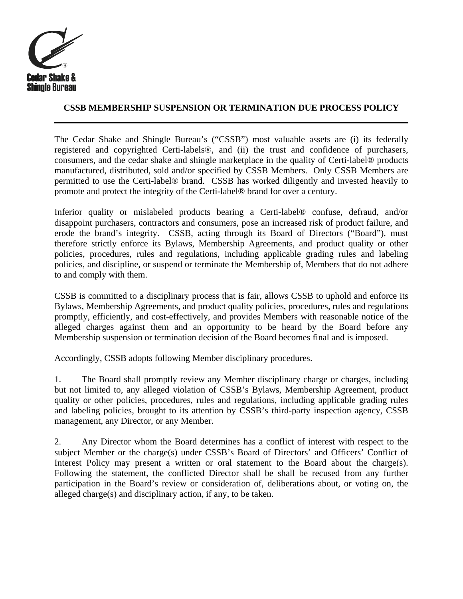

## **CSSB MEMBERSHIP SUSPENSION OR TERMINATION DUE PROCESS POLICY**

The Cedar Shake and Shingle Bureau's ("CSSB") most valuable assets are (i) its federally registered and copyrighted Certi-labels®, and (ii) the trust and confidence of purchasers, consumers, and the cedar shake and shingle marketplace in the quality of Certi-label® products manufactured, distributed, sold and/or specified by CSSB Members. Only CSSB Members are permitted to use the Certi-label® brand. CSSB has worked diligently and invested heavily to promote and protect the integrity of the Certi-label® brand for over a century.

Inferior quality or mislabeled products bearing a Certi-label® confuse, defraud, and/or disappoint purchasers, contractors and consumers, pose an increased risk of product failure, and erode the brand's integrity. CSSB, acting through its Board of Directors ("Board"), must therefore strictly enforce its Bylaws, Membership Agreements, and product quality or other policies, procedures, rules and regulations, including applicable grading rules and labeling policies, and discipline, or suspend or terminate the Membership of, Members that do not adhere to and comply with them.

CSSB is committed to a disciplinary process that is fair, allows CSSB to uphold and enforce its Bylaws, Membership Agreements, and product quality policies, procedures, rules and regulations promptly, efficiently, and cost-effectively, and provides Members with reasonable notice of the alleged charges against them and an opportunity to be heard by the Board before any Membership suspension or termination decision of the Board becomes final and is imposed.

Accordingly, CSSB adopts following Member disciplinary procedures.

1. The Board shall promptly review any Member disciplinary charge or charges, including but not limited to, any alleged violation of CSSB's Bylaws, Membership Agreement, product quality or other policies, procedures, rules and regulations, including applicable grading rules and labeling policies, brought to its attention by CSSB's third-party inspection agency, CSSB management, any Director, or any Member.

2. Any Director whom the Board determines has a conflict of interest with respect to the subject Member or the charge(s) under CSSB's Board of Directors' and Officers' Conflict of Interest Policy may present a written or oral statement to the Board about the charge(s). Following the statement, the conflicted Director shall be shall be recused from any further participation in the Board's review or consideration of, deliberations about, or voting on, the alleged charge(s) and disciplinary action, if any, to be taken.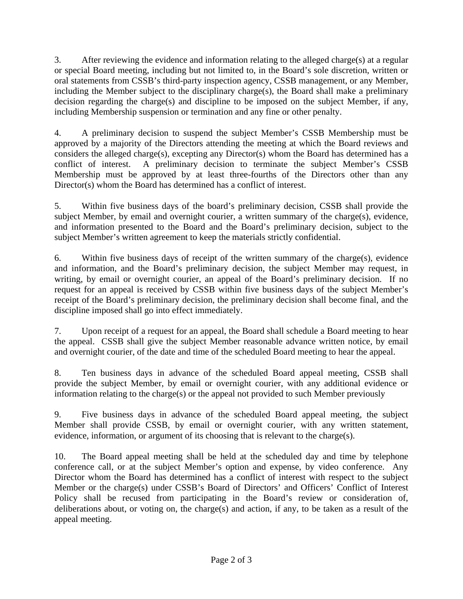3. After reviewing the evidence and information relating to the alleged charge(s) at a regular or special Board meeting, including but not limited to, in the Board's sole discretion, written or oral statements from CSSB's third-party inspection agency, CSSB management, or any Member, including the Member subject to the disciplinary charge(s), the Board shall make a preliminary decision regarding the charge(s) and discipline to be imposed on the subject Member, if any, including Membership suspension or termination and any fine or other penalty.

4. A preliminary decision to suspend the subject Member's CSSB Membership must be approved by a majority of the Directors attending the meeting at which the Board reviews and considers the alleged charge(s), excepting any Director(s) whom the Board has determined has a conflict of interest. A preliminary decision to terminate the subject Member's CSSB Membership must be approved by at least three-fourths of the Directors other than any Director(s) whom the Board has determined has a conflict of interest.

5. Within five business days of the board's preliminary decision, CSSB shall provide the subject Member, by email and overnight courier, a written summary of the charge(s), evidence, and information presented to the Board and the Board's preliminary decision, subject to the subject Member's written agreement to keep the materials strictly confidential.

6. Within five business days of receipt of the written summary of the charge(s), evidence and information, and the Board's preliminary decision, the subject Member may request, in writing, by email or overnight courier, an appeal of the Board's preliminary decision. If no request for an appeal is received by CSSB within five business days of the subject Member's receipt of the Board's preliminary decision, the preliminary decision shall become final, and the discipline imposed shall go into effect immediately.

7. Upon receipt of a request for an appeal, the Board shall schedule a Board meeting to hear the appeal. CSSB shall give the subject Member reasonable advance written notice, by email and overnight courier, of the date and time of the scheduled Board meeting to hear the appeal.

8. Ten business days in advance of the scheduled Board appeal meeting, CSSB shall provide the subject Member, by email or overnight courier, with any additional evidence or information relating to the charge(s) or the appeal not provided to such Member previously

9. Five business days in advance of the scheduled Board appeal meeting, the subject Member shall provide CSSB, by email or overnight courier, with any written statement, evidence, information, or argument of its choosing that is relevant to the charge(s).

10. The Board appeal meeting shall be held at the scheduled day and time by telephone conference call, or at the subject Member's option and expense, by video conference. Any Director whom the Board has determined has a conflict of interest with respect to the subject Member or the charge(s) under CSSB's Board of Directors' and Officers' Conflict of Interest Policy shall be recused from participating in the Board's review or consideration of, deliberations about, or voting on, the charge(s) and action, if any, to be taken as a result of the appeal meeting.